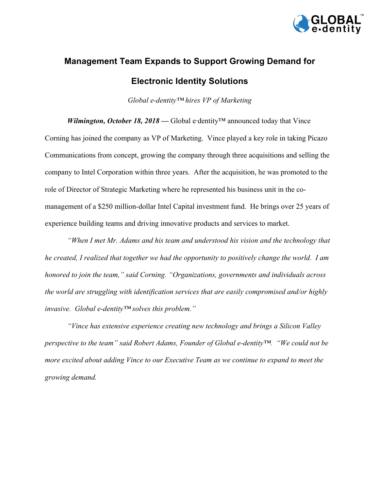

## **Management Team Expands to Support Growing Demand for Electronic Identity Solutions**

*Global e-dentity™ hires VP of Marketing*

*Wilmington, October 18, 2018* — Global e∙dentity<sup>™</sup> announced today that Vince Corning has joined the company as VP of Marketing. Vince played a key role in taking Picazo Communications from concept, growing the company through three acquisitions and selling the company to Intel Corporation within three years. After the acquisition, he was promoted to the role of Director of Strategic Marketing where he represented his business unit in the comanagement of a \$250 million-dollar Intel Capital investment fund. He brings over 25 years of experience building teams and driving innovative products and services to market.

*"When I met Mr. Adams and his team and understood his vision and the technology that he created, I realized that together we had the opportunity to positively change the world. I am honored to join the team," said Corning. "Organizations, governments and individuals across the world are struggling with identification services that are easily compromised and/or highly invasive. Global e-dentity™ solves this problem."*

*"Vince has extensive experience creating new technology and brings a Silicon Valley perspective to the team" said Robert Adams, Founder of Global e-dentity™. "We could not be more excited about adding Vince to our Executive Team as we continue to expand to meet the growing demand.*